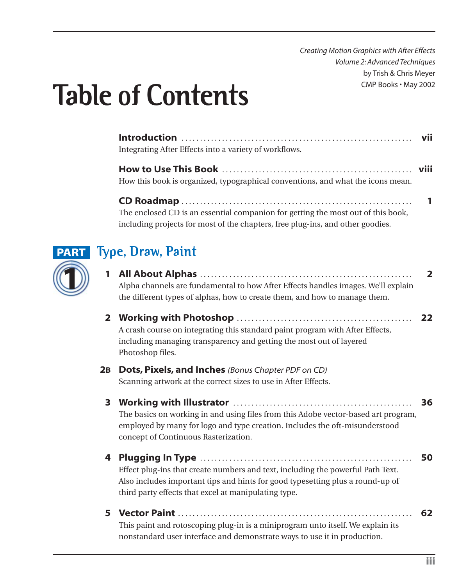*Creating Motion Graphics with After Effects Volume 2: Advanced Techniques* by Trish & Chris Meyer CMP Books • May 2002

# **Table of Contents**

| Integrating After Effects into a variety of workflows.                           |  |
|----------------------------------------------------------------------------------|--|
| How this book is organized, typographical conventions, and what the icons mean.  |  |
| The enclosed CD is an essential companion for getting the most out of this book, |  |
| including projects for most of the chapters, free plug-ins, and other goodies.   |  |



## **Type, Draw, Paint**

- **1 All About Alphas** . . . . . . . . . . . . . . . . . . . . . . . . . . . . . . . . . . . . . . . . . . . . . . . . . . . . . . . . . . **2** Alpha channels are fundamental to how After Effects handles images. We'll explain the different types of alphas, how to create them, and how to manage them.
- **2 Working with Photoshop** . . . . . . . . . . . . . . . . . . . . . . . . . . . . . . . . . . . . . . . . . . . . . . . . **22** A crash course on integrating this standard paint program with After Effects, including managing transparency and getting the most out of layered Photoshop files.

#### **2B Dots, Pixels, and Inches** *(Bonus Chapter PDF on CD)* Scanning artwork at the correct sizes to use in After Effects.

- **3 Working with Illustrator** . . . . . . . . . . . . . . . . . . . . . . . . . . . . . . . . . . . . . . . . . . . . . . . . . **36** The basics on working in and using files from this Adobe vector-based art program, employed by many for logo and type creation. Includes the oft-misunderstood concept of Continuous Rasterization.
- **4 Plugging In Type** . . . . . . . . . . . . . . . . . . . . . . . . . . . . . . . . . . . . . . . . . . . . . . . . . . . . . . . . . . **50** Effect plug-ins that create numbers and text, including the powerful Path Text. Also includes important tips and hints for good typesetting plus a round-up of third party effects that excel at manipulating type.
- **5 Vector Paint** . . . . . . . . . . . . . . . . . . . . . . . . . . . . . . . . . . . . . . . . . . . . . . . . . . . . . . . . . . . . . . . . **62** This paint and rotoscoping plug-in is a miniprogram unto itself. We explain its nonstandard user interface and demonstrate ways to use it in production.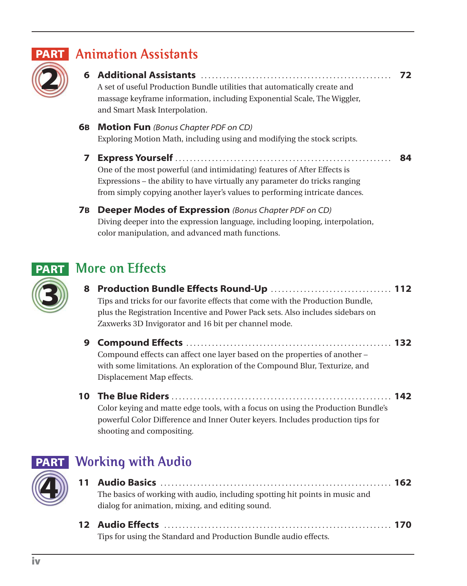

#### **PART** Animation Assistants

**6 Additional Assistants** . . . . . . . . . . . . . . . . . . . . . . . . . . . . . . . . . . . . . . . . . . . . . . . . . . . . **72** A set of useful Production Bundle utilities that automatically create and massage keyframe information, including Exponential Scale, The Wiggler,

and Smart Mask Interpolation.

- **6B Motion Fun** *(Bonus Chapter PDF on CD)* Exploring Motion Math, including using and modifying the stock scripts.
	- **7 Express Yourself** . . . . . . . . . . . . . . . . . . . . . . . . . . . . . . . . . . . . . . . . . . . . . . . . . . . . . . . . . . . **84** One of the most powerful (and intimidating) features of After Effects is Expressions – the ability to have virtually any parameter do tricks ranging from simply copying another layer's values to performing intricate dances.
- **7B Deeper Modes of Expression** *(Bonus Chapter PDF on CD)* Diving deeper into the expression language, including looping, interpolation, color manipulation, and advanced math functions.

### **More on Effects**



- **8 Production Bundle Effects Round-Up** . . . . . . . . . . . . . . . . . . . . . . . . . . . . . . . . . **112** Tips and tricks for our favorite effects that come with the Production Bundle, plus the Registration Incentive and Power Pack sets. Also includes sidebars on Zaxwerks 3D Invigorator and 16 bit per channel mode.
- **9 Compound Effects** . . . . . . . . . . . . . . . . . . . . . . . . . . . . . . . . . . . . . . . . . . . . . . . . . . . . . . . . **132** Compound effects can affect one layer based on the properties of another – with some limitations. An exploration of the Compound Blur, Texturize, and Displacement Map effects.
- **10 The Blue Riders** . . . . . . . . . . . . . . . . . . . . . . . . . . . . . . . . . . . . . . . . . . . . . . . . . . . . . . . . . . . . **142** Color keying and matte edge tools, with a focus on using the Production Bundle's powerful Color Difference and Inner Outer keyers. Includes production tips for shooting and compositing.



### **Working with Audio**

- **11 Audio Basics** . . . . . . . . . . . . . . . . . . . . . . . . . . . . . . . . . . . . . . . . . . . . . . . . . . . . . . . . . . . . . . . **162** The basics of working with audio, including spotting hit points in music and dialog for animation, mixing, and editing sound.
- **12 Audio Effects** . . . . . . . . . . . . . . . . . . . . . . . . . . . . . . . . . . . . . . . . . . . . . . . . . . . . . . . . . . . . . . **170** Tips for using the Standard and Production Bundle audio effects.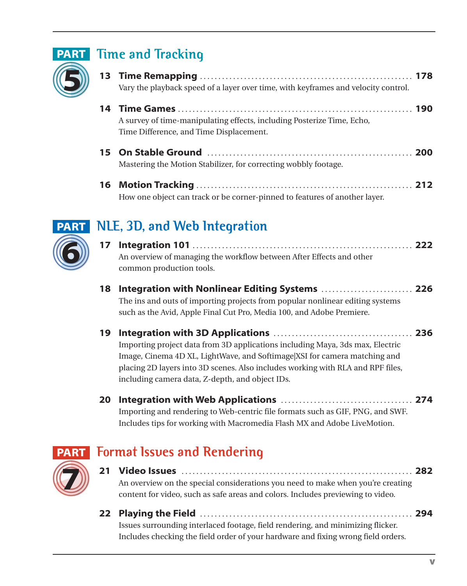

## **PART** Time and Tracking

- **13 Time Remapping** . . . . . . . . . . . . . . . . . . . . . . . . . . . . . . . . . . . . . . . . . . . . . . . . . . . . . . . . . . **178** Vary the playback speed of a layer over time, with keyframes and velocity control.
- **14 Time Games** . . . . . . . . . . . . . . . . . . . . . . . . . . . . . . . . . . . . . . . . . . . . . . . . . . . . . . . . . . . . . . . . **190** A survey of time-manipulating effects, including Posterize Time, Echo, Time Difference, and Time Displacement.
- **15 On Stable Ground** . . . . . . . . . . . . . . . . . . . . . . . . . . . . . . . . . . . . . . . . . . . . . . . . . . . . . . . . **200** Mastering the Motion Stabilizer, for correcting wobbly footage.
- **16 Motion Tracking** . . . . . . . . . . . . . . . . . . . . . . . . . . . . . . . . . . . . . . . . . . . . . . . . . . . . . . . . . . . **212** How one object can track or be corner-pinned to features of another layer.



## **NLE, 3D, and Web Integration**

- **17 Integration 101** . . . . . . . . . . . . . . . . . . . . . . . . . . . . . . . . . . . . . . . . . . . . . . . . . . . . . . . . . . . . **222** An overview of managing the workflow between After Effects and other common production tools.
- **18 Integration with Nonlinear Editing Systems** . . . . . . . . . . . . . . . . . . . . . . . . . **226** The ins and outs of importing projects from popular nonlinear editing systems such as the Avid, Apple Final Cut Pro, Media 100, and Adobe Premiere.
- **19 Integration with 3D Applications** . . . . . . . . . . . . . . . . . . . . . . . . . . . . . . . . . . . . . . **236** Importing project data from 3D applications including Maya, 3ds max, Electric Image, Cinema 4D XL, LightWave, and Softimage|XSI for camera matching and placing 2D layers into 3D scenes. Also includes working with RLA and RPF files, including camera data, Z-depth, and object IDs.
- **20 Integration with Web Applications** . . . . . . . . . . . . . . . . . . . . . . . . . . . . . . . . . . . . **274** Importing and rendering to Web-centric file formats such as GIF, PNG, and SWF. Includes tips for working with Macromedia Flash MX and Adobe LiveMotion.



## **Format Issues and Rendering PART**

- **21 Video Issues** . . . . . . . . . . . . . . . . . . . . . . . . . . . . . . . . . . . . . . . . . . . . . . . . . . . . . . . . . . . . . . . **282** An overview on the special considerations you need to make when you're creating content for video, such as safe areas and colors. Includes previewing to video.
- **22 Playing the Field** . . . . . . . . . . . . . . . . . . . . . . . . . . . . . . . . . . . . . . . . . . . . . . . . . . . . . . . . . . **294** Issues surrounding interlaced footage, field rendering, and minimizing flicker. Includes checking the field order of your hardware and fixing wrong field orders.